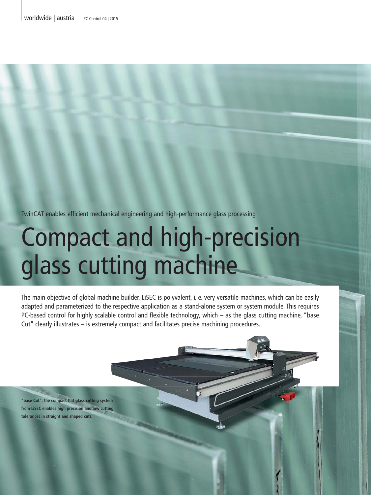TwinCAT enables efficient mechanical engineering and high-performance glass processing

# Compact and high-precision glass cutting machine

The main objective of global machine builder, LiSEC is polyvalent, i. e. very versatile machines, which can be easily adapted and parameterized to the respective application as a stand-alone system or system module. This requires PC-based control for highly scalable control and flexible technology, which – as the glass cutting machine, "base Cut" clearly illustrates – is extremely compact and facilitates precise machining procedures.

**"base Cut", the compact flat glass cutting system from LiSEC enables high precision and low cutting tolerances in straight and shaped cuts.**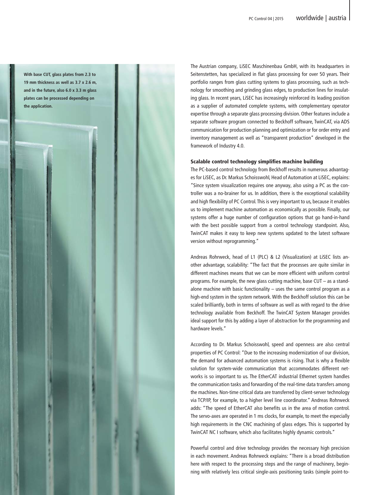**With base CUT, glass plates from 2.3 to 19 mm thickness as well as 3.7 x 2.6 m, and in the future, also 6.0 x 3.3 m glass plates can be processed depending on the application.**

The Austrian company, LiSEC Maschinenbau GmbH, with its headquarters in Seitenstetten, has specialized in flat glass processing for over 50 years. Their portfolio ranges from glass cutting systems to glass processing, such as technology for smoothing and grinding glass edges, to production lines for insulating glass. In recent years, LiSEC has increasingly reinforced its leading position as a supplier of automated complete systems, with complementary operator expertise through a separate glass processing division. Other features include a separate software program connected to Beckhoff software, TwinCAT, via ADS communication for production planning and optimization or for order entry and inventory management as well as "transparent production" developed in the framework of Industry 4.0.

### Scalable control technology simplifies machine building

The PC-based control technology from Beckhoff results in numerous advantages for LiSEC, as Dr. Markus Schoisswohl, Head of Automation at LiSEC, explains: "Since system visualization requires one anyway, also using a PC as the controller was a no-brainer for us. In addition, there is the exceptional scalability and high flexibility of PC Control. This is very important to us, because it enables us to implement machine automation as economically as possible. Finally, our systems offer a huge number of configuration options that go hand-in-hand with the best possible support from a control technology standpoint. Also, TwinCAT makes it easy to keep new systems updated to the latest software version without reprogramming."

Andreas Rohrweck, head of L1 (PLC) & L2 (Visualization) at LiSEC lists another advantage, scalability: "The fact that the processes are quite similar in different machines means that we can be more efficient with uniform control programs. For example, the new glass cutting machine, base CUT – as a standalone machine with basic functionality – uses the same control program as a high-end system in the system network. With the Beckhoff solution this can be scaled brilliantly, both in terms of software as well as with regard to the drive technology available from Beckhoff. The TwinCAT System Manager provides ideal support for this by adding a layer of abstraction for the programming and hardware levels."

According to Dr. Markus Schoisswohl, speed and openness are also central properties of PC Control: "Due to the increasing modernization of our division, the demand for advanced automation systems is rising. That is why a flexible solution for system-wide communication that accommodates different networks is so important to us. The EtherCAT industrial Ethernet system handles the communication tasks and forwarding of the real-time data transfers among the machines. Non-time critical data are transferred by client-server technology via TCP/IP, for example, to a higher level line coordinator." Andreas Rohrweck adds: "The speed of EtherCAT also benefits us in the area of motion control. The servo-axes are operated in 1 ms clocks, for example, to meet the especially high requirements in the CNC machining of glass edges. This is supported by TwinCAT NC I software, which also facilitates highly dynamic controls."

Powerful control and drive technology provides the necessary high precision in each movement. Andreas Rohrweck explains: "There is a broad distribution here with respect to the processing steps and the range of machinery, beginning with relatively less critical single-axis positioning tasks (simple point-to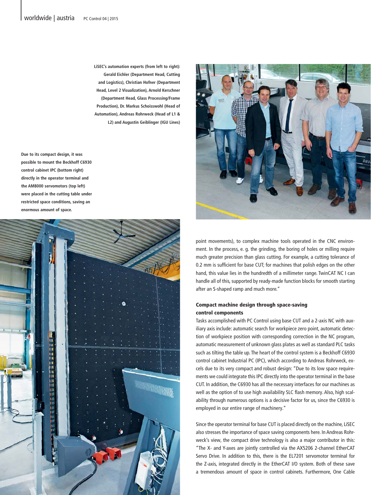**LiSEC's automation experts (from left to right): Gerald Eichler (Department Head, Cutting and Logistics), Christian Hofner (Department Head, Level 2 Visualization), Arnold Kerschner (Department Head, Glass Processing/Frame Production), Dr. Markus Schoisswohl (Head of Automation), Andreas Rohrweck (Head of L1 & L2) and Augustin Geiblinger (IGU Lines)**

**Due to its compact design, it was possible to mount the Beckhoff C6930 control cabinet IPC (bottom right) directly in the operator terminal and the AM8000 servomotors (top left) were placed in the cutting table under restricted space conditions, saving an enormous amount of space.**





point movements), to complex machine tools operated in the CNC environment. In the process, e. g. the grinding, the boring of holes or milling require much greater precision than glass cutting. For example, a cutting tolerance of 0.2 mm is sufficient for base CUT; for machines that polish edges on the other hand, this value lies in the hundredth of a millimeter range. TwinCAT NC I can handle all of this, supported by ready-made function blocks for smooth starting after an S-shaped ramp and much more."

## Compact machine design through space-saving control components

Tasks accomplished with PC Control using base CUT and a 2-axis NC with auxiliary axis include: automatic search for workpiece zero point, automatic detection of workpiece position with corresponding correction in the NC program, automatic measurement of unknown glass plates as well as standard PLC tasks such as tilting the table up. The heart of the control system is a Beckhoff C6930 control cabinet Industrial PC (IPC), which according to Andreas Rohrweck, excels due to its very compact and robust design: "Due to its low space requirements we could integrate this IPC directly into the operator terminal in the base CUT. In addition, the C6930 has all the necessary interfaces for our machines as well as the option of to use high availability SLC flash memory. Also, high scalability through numerous options is a decisive factor for us, since the C6930 is employed in our entire range of machinery."

Since the operator terminal for base CUT is placed directly on the machine, LiSEC also stresses the importance of space saving components here. In Andreas Rohrweck's view, the compact drive technology is also a major contributor in this: "The X- and Y-axes are jointly controlled via the AX5206 2-channel EtherCAT Servo Drive. In addition to this, there is the EL7201 servomotor terminal for the Z-axis, integrated directly in the EtherCAT I/O system. Both of these save a tremendous amount of space in control cabinets. Furthermore, One Cable